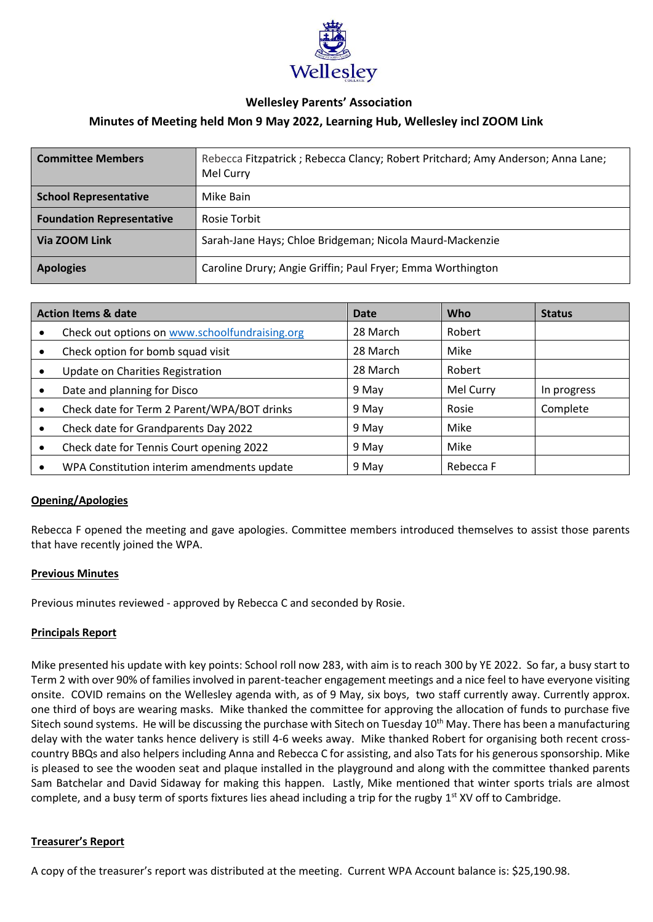

# **Wellesley Parents' Association**

# **Minutes of Meeting held Mon 9 May 2022, Learning Hub, Wellesley incl ZOOM Link**

| <b>Committee Members</b>         | Rebecca Fitzpatrick; Rebecca Clancy; Robert Pritchard; Amy Anderson; Anna Lane;<br>Mel Curry |
|----------------------------------|----------------------------------------------------------------------------------------------|
| <b>School Representative</b>     | Mike Bain                                                                                    |
| <b>Foundation Representative</b> | Rosie Torbit                                                                                 |
| Via ZOOM Link                    | Sarah-Jane Hays; Chloe Bridgeman; Nicola Maurd-Mackenzie                                     |
| <b>Apologies</b>                 | Caroline Drury; Angie Griffin; Paul Fryer; Emma Worthington                                  |

| <b>Action Items &amp; date</b> |                                                | Date     | Who       | <b>Status</b> |
|--------------------------------|------------------------------------------------|----------|-----------|---------------|
|                                | Check out options on www.schoolfundraising.org | 28 March | Robert    |               |
|                                | Check option for bomb squad visit              | 28 March | Mike      |               |
|                                | Update on Charities Registration               | 28 March | Robert    |               |
|                                | Date and planning for Disco                    | 9 May    | Mel Curry | In progress   |
|                                | Check date for Term 2 Parent/WPA/BOT drinks    | 9 May    | Rosie     | Complete      |
|                                | Check date for Grandparents Day 2022           | 9 May    | Mike      |               |
|                                | Check date for Tennis Court opening 2022       | 9 May    | Mike      |               |
|                                | WPA Constitution interim amendments update     | 9 May    | Rebecca F |               |

# **Opening/Apologies**

Rebecca F opened the meeting and gave apologies. Committee members introduced themselves to assist those parents that have recently joined the WPA.

# **Previous Minutes**

Previous minutes reviewed - approved by Rebecca C and seconded by Rosie.

# **Principals Report**

Mike presented his update with key points: School roll now 283, with aim is to reach 300 by YE 2022. So far, a busy start to Term 2 with over 90% of families involved in parent-teacher engagement meetings and a nice feel to have everyone visiting onsite. COVID remains on the Wellesley agenda with, as of 9 May, six boys, two staff currently away. Currently approx. one third of boys are wearing masks. Mike thanked the committee for approving the allocation of funds to purchase five Sitech sound systems. He will be discussing the purchase with Sitech on Tuesday 10<sup>th</sup> May. There has been a manufacturing delay with the water tanks hence delivery is still 4-6 weeks away. Mike thanked Robert for organising both recent crosscountry BBQs and also helpers including Anna and Rebecca C for assisting, and also Tats for his generous sponsorship. Mike is pleased to see the wooden seat and plaque installed in the playground and along with the committee thanked parents Sam Batchelar and David Sidaway for making this happen. Lastly, Mike mentioned that winter sports trials are almost complete, and a busy term of sports fixtures lies ahead including a trip for the rugby 1<sup>st</sup> XV off to Cambridge.

# **Treasurer's Report**

A copy of the treasurer's report was distributed at the meeting. Current WPA Account balance is: \$25,190.98.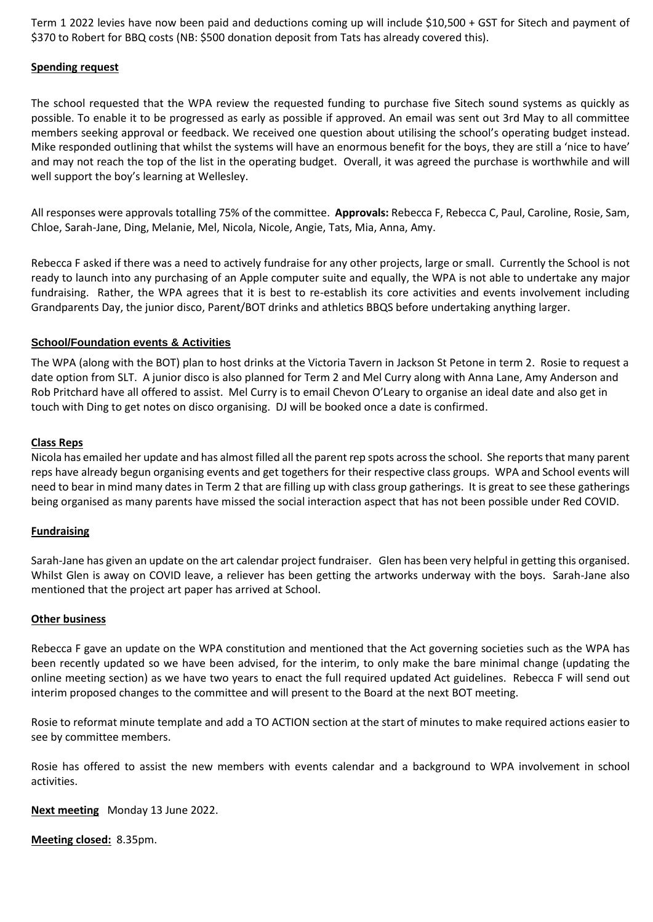Term 1 2022 levies have now been paid and deductions coming up will include \$10,500 + GST for Sitech and payment of \$370 to Robert for BBQ costs (NB: \$500 donation deposit from Tats has already covered this).

# **Spending request**

The school requested that the WPA review the requested funding to purchase five Sitech sound systems as quickly as possible. To enable it to be progressed as early as possible if approved. An email was sent out 3rd May to all committee members seeking approval or feedback. We received one question about utilising the school's operating budget instead. Mike responded outlining that whilst the systems will have an enormous benefit for the boys, they are still a 'nice to have' and may not reach the top of the list in the operating budget. Overall, it was agreed the purchase is worthwhile and will well support the boy's learning at Wellesley.

All responses were approvals totalling 75% of the committee. **Approvals:** Rebecca F, Rebecca C, Paul, Caroline, Rosie, Sam, Chloe, Sarah-Jane, Ding, Melanie, Mel, Nicola, Nicole, Angie, Tats, Mia, Anna, Amy.

Rebecca F asked if there was a need to actively fundraise for any other projects, large or small. Currently the School is not ready to launch into any purchasing of an Apple computer suite and equally, the WPA is not able to undertake any major fundraising. Rather, the WPA agrees that it is best to re-establish its core activities and events involvement including Grandparents Day, the junior disco, Parent/BOT drinks and athletics BBQS before undertaking anything larger.

# **School/Foundation events & Activities**

The WPA (along with the BOT) plan to host drinks at the Victoria Tavern in Jackson St Petone in term 2. Rosie to request a date option from SLT. A junior disco is also planned for Term 2 and Mel Curry along with Anna Lane, Amy Anderson and Rob Pritchard have all offered to assist. Mel Curry is to email Chevon O'Leary to organise an ideal date and also get in touch with Ding to get notes on disco organising. DJ will be booked once a date is confirmed.

# **Class Reps**

Nicola has emailed her update and has almost filled all the parent rep spots across the school. She reports that many parent reps have already begun organising events and get togethers for their respective class groups. WPA and School events will need to bear in mind many dates in Term 2 that are filling up with class group gatherings. It is great to see these gatherings being organised as many parents have missed the social interaction aspect that has not been possible under Red COVID.

# **Fundraising**

Sarah-Jane has given an update on the art calendar project fundraiser. Glen has been very helpful in getting this organised. Whilst Glen is away on COVID leave, a reliever has been getting the artworks underway with the boys. Sarah-Jane also mentioned that the project art paper has arrived at School.

# **Other business**

Rebecca F gave an update on the WPA constitution and mentioned that the Act governing societies such as the WPA has been recently updated so we have been advised, for the interim, to only make the bare minimal change (updating the online meeting section) as we have two years to enact the full required updated Act guidelines. Rebecca F will send out interim proposed changes to the committee and will present to the Board at the next BOT meeting.

Rosie to reformat minute template and add a TO ACTION section at the start of minutes to make required actions easier to see by committee members.

Rosie has offered to assist the new members with events calendar and a background to WPA involvement in school activities.

**Next meeting** Monday 13 June 2022.

**Meeting closed:** 8.35pm.